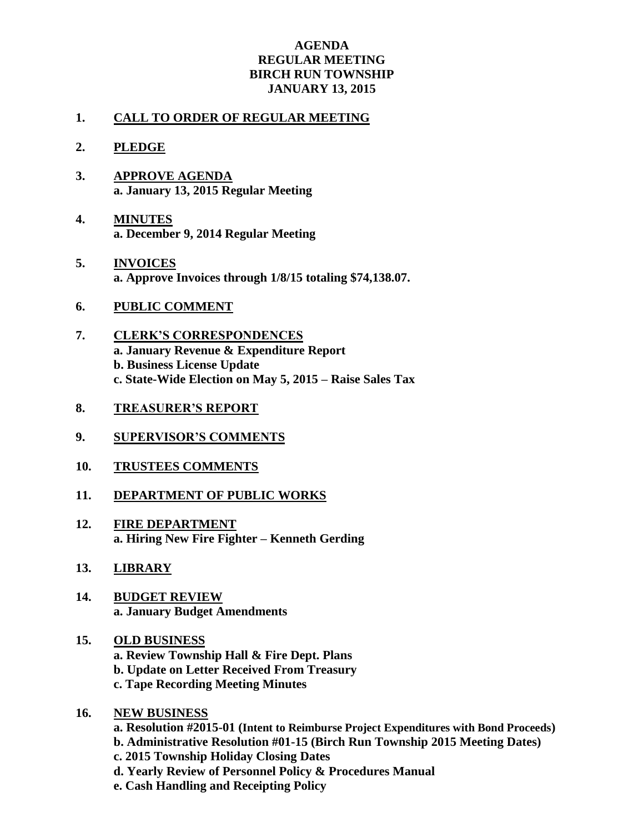## **AGENDA REGULAR MEETING BIRCH RUN TOWNSHIP JANUARY 13, 2015**

## **1. CALL TO ORDER OF REGULAR MEETING**

- **2. PLEDGE**
- **3. APPROVE AGENDA a. January 13, 2015 Regular Meeting**
- **4. MINUTES a. December 9, 2014 Regular Meeting**
- **5. INVOICES a. Approve Invoices through 1/8/15 totaling \$74,138.07.**
- **6. PUBLIC COMMENT**
- **7. CLERK'S CORRESPONDENCES a. January Revenue & Expenditure Report b. Business License Update c. State-Wide Election on May 5, 2015 – Raise Sales Tax**
- **8. TREASURER'S REPORT**
- **9. SUPERVISOR'S COMMENTS**
- **10. TRUSTEES COMMENTS**
- **11. DEPARTMENT OF PUBLIC WORKS**
- **12. FIRE DEPARTMENT a. Hiring New Fire Fighter – Kenneth Gerding**
- **13. LIBRARY**
- **14. BUDGET REVIEW a. January Budget Amendments**
- **15. OLD BUSINESS a. Review Township Hall & Fire Dept. Plans b. Update on Letter Received From Treasury c. Tape Recording Meeting Minutes**
- **16. NEW BUSINESS**
	- **a. Resolution #2015-01 (Intent to Reimburse Project Expenditures with Bond Proceeds) b. Administrative Resolution #01-15 (Birch Run Township 2015 Meeting Dates) c. 2015 Township Holiday Closing Dates d. Yearly Review of Personnel Policy & Procedures Manual e. Cash Handling and Receipting Policy**